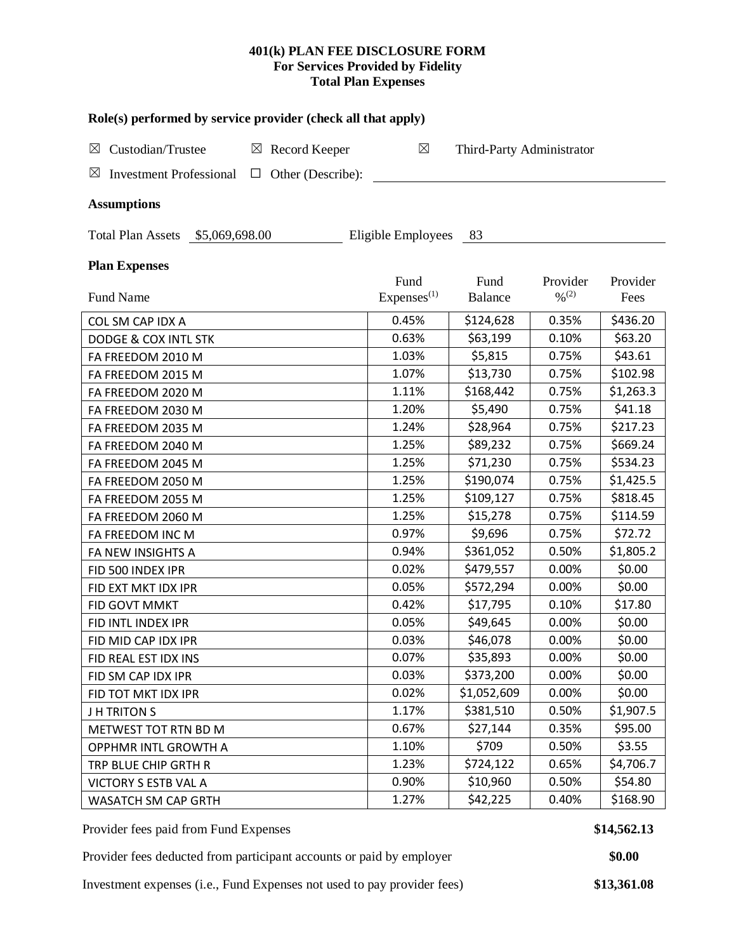### **401(k) PLAN FEE DISCLOSURE FORM For Services Provided by Fidelity Total Plan Expenses**

| Role(s) performed by service provider (check all that apply)                 |                        |                           |                              |           |  |  |  |  |  |  |  |
|------------------------------------------------------------------------------|------------------------|---------------------------|------------------------------|-----------|--|--|--|--|--|--|--|
| Custodian/Trustee<br>Record Keeper<br>$\boxtimes$<br>$\boxtimes$             | $\boxtimes$            | Third-Party Administrator |                              |           |  |  |  |  |  |  |  |
| $\boxtimes$<br>Other (Describe):<br><b>Investment Professional</b><br>$\Box$ |                        |                           |                              |           |  |  |  |  |  |  |  |
| <b>Assumptions</b>                                                           |                        |                           |                              |           |  |  |  |  |  |  |  |
| Eligible Employees<br>Total Plan Assets \$5,069,698.00<br>83                 |                        |                           |                              |           |  |  |  |  |  |  |  |
| <b>Plan Expenses</b>                                                         |                        |                           |                              |           |  |  |  |  |  |  |  |
|                                                                              | Fund                   | Fund                      | Provider                     | Provider  |  |  |  |  |  |  |  |
| Fund Name                                                                    | Express <sup>(1)</sup> | <b>Balance</b>            | $\frac{0}{2}$ <sup>(2)</sup> | Fees      |  |  |  |  |  |  |  |
| COL SM CAP IDX A                                                             | 0.45%                  | \$124,628                 | 0.35%                        | \$436.20  |  |  |  |  |  |  |  |
| <b>DODGE &amp; COX INTL STK</b>                                              | 0.63%                  | \$63,199                  | 0.10%                        | \$63.20   |  |  |  |  |  |  |  |
| FA FREEDOM 2010 M                                                            | 1.03%                  | \$5,815                   | 0.75%                        | \$43.61   |  |  |  |  |  |  |  |
| FA FREEDOM 2015 M                                                            | 1.07%                  | \$13,730                  | 0.75%                        | \$102.98  |  |  |  |  |  |  |  |
| FA FREEDOM 2020 M                                                            | 1.11%                  | \$168,442                 | 0.75%                        | \$1,263.3 |  |  |  |  |  |  |  |
| FA FREEDOM 2030 M                                                            | 1.20%                  | \$5,490                   | 0.75%                        | \$41.18   |  |  |  |  |  |  |  |
| FA FREEDOM 2035 M                                                            | 1.24%                  | \$28,964                  | 0.75%                        | \$217.23  |  |  |  |  |  |  |  |
| FA FREEDOM 2040 M                                                            | 1.25%                  | \$89,232                  | 0.75%                        | \$669.24  |  |  |  |  |  |  |  |
| FA FREEDOM 2045 M                                                            | 1.25%                  | \$71,230                  | 0.75%                        | \$534.23  |  |  |  |  |  |  |  |
| FA FREEDOM 2050 M                                                            | 1.25%                  | \$190,074                 | 0.75%                        | \$1,425.5 |  |  |  |  |  |  |  |
| FA FREEDOM 2055 M                                                            | 1.25%                  | \$109,127                 | 0.75%                        | \$818.45  |  |  |  |  |  |  |  |
| FA FREEDOM 2060 M                                                            | 1.25%                  | \$15,278                  | 0.75%                        | \$114.59  |  |  |  |  |  |  |  |
| FA FREEDOM INC M                                                             | 0.97%                  | \$9,696                   | 0.75%                        | \$72.72   |  |  |  |  |  |  |  |
| FA NEW INSIGHTS A                                                            | 0.94%                  | \$361,052                 | 0.50%                        | \$1,805.2 |  |  |  |  |  |  |  |
| FID 500 INDEX IPR                                                            | 0.02%                  | \$479,557                 | 0.00%                        | \$0.00    |  |  |  |  |  |  |  |
| FID EXT MKT IDX IPR                                                          | 0.05%                  | \$572,294                 | 0.00%                        | \$0.00    |  |  |  |  |  |  |  |
| FID GOVT MMKT                                                                | 0.42%                  | \$17,795                  | 0.10%                        | \$17.80   |  |  |  |  |  |  |  |
| FID INTL INDEX IPR                                                           | 0.05%                  | \$49,645                  | 0.00%                        | \$0.00    |  |  |  |  |  |  |  |
| FID MID CAP IDX IPR                                                          | 0.03%                  | \$46,078                  | 0.00%                        | \$0.00    |  |  |  |  |  |  |  |
| FID REAL EST IDX INS                                                         | 0.07%                  | \$35,893                  | 0.00%                        | \$0.00    |  |  |  |  |  |  |  |
| FID SM CAP IDX IPR                                                           | 0.03%                  | \$373,200                 | 0.00%                        | \$0.00    |  |  |  |  |  |  |  |
| FID TOT MKT IDX IPR                                                          | 0.02%                  | \$1,052,609               | 0.00%                        | \$0.00    |  |  |  |  |  |  |  |
| <b>JH TRITONS</b>                                                            | 1.17%                  | \$381,510                 | 0.50%                        | \$1,907.5 |  |  |  |  |  |  |  |
| METWEST TOT RTN BD M                                                         | 0.67%                  | \$27,144                  | 0.35%                        | \$95.00   |  |  |  |  |  |  |  |
| OPPHMR INTL GROWTH A                                                         | 1.10%                  | \$709                     | 0.50%                        | \$3.55    |  |  |  |  |  |  |  |
| TRP BLUE CHIP GRTH R                                                         | 1.23%                  | \$724,122                 | 0.65%                        | \$4,706.7 |  |  |  |  |  |  |  |
| VICTORY S ESTB VAL A                                                         | 0.90%                  | \$10,960                  | 0.50%                        | \$54.80   |  |  |  |  |  |  |  |
| WASATCH SM CAP GRTH                                                          | 1.27%                  | \$42,225                  | 0.40%                        | \$168.90  |  |  |  |  |  |  |  |

Provider fees paid from Fund Expenses **\$14,562.13** 

Provider fees deducted from participant accounts or paid by employer **\$0.00** 

Investment expenses (i.e., Fund Expenses not used to pay provider fees) **\$13,361.08**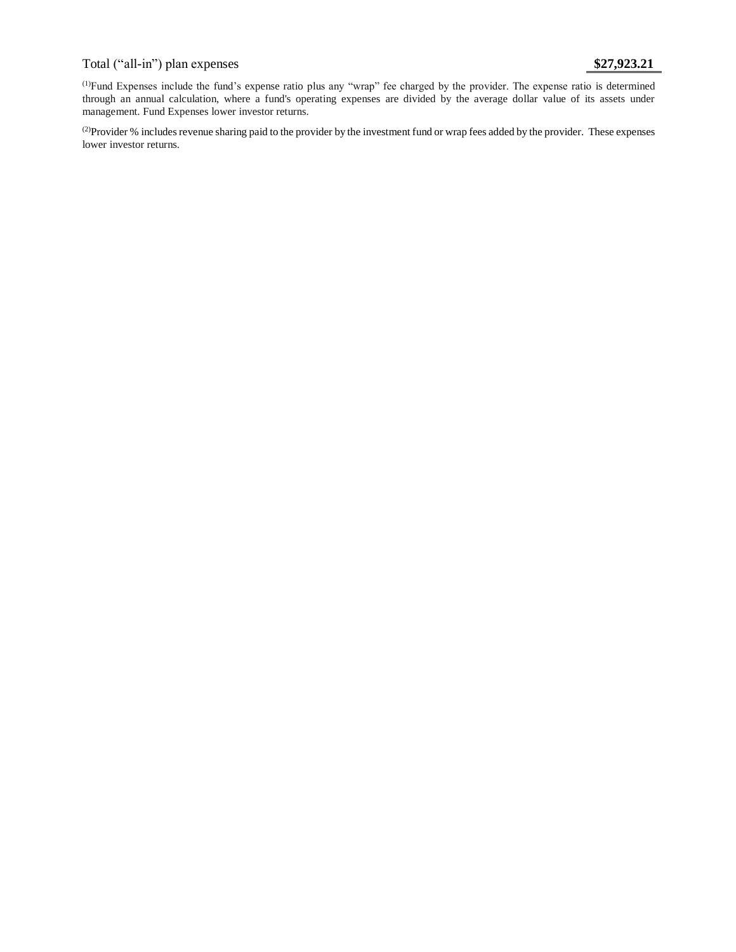# Total ("all-in") plan expenses **\$27,923.21**

(1)Fund Expenses include the fund's expense ratio plus any "wrap" fee charged by the provider. The expense ratio is determined through an annual calculation, where a fund's operating expenses are divided by the average dollar value of its assets under management. Fund Expenses lower investor returns.

<sup>(2)</sup>Provider % includes revenue sharing paid to the provider by the investment fund or wrap fees added by the provider. These expenses lower investor returns.